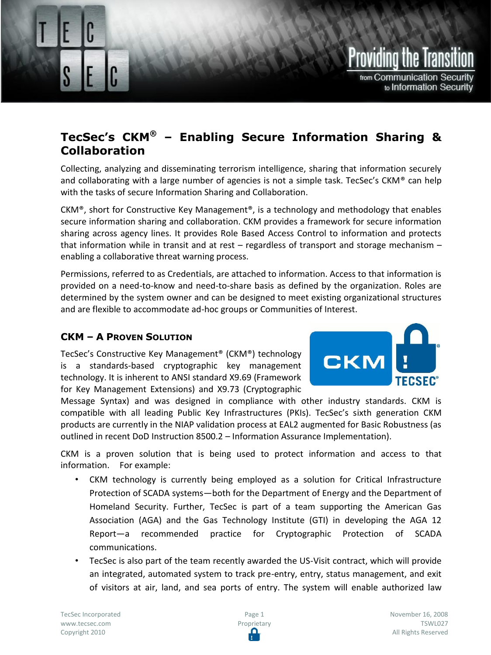# Providina the Transil from Communication Security to Information Security

# **TecSec's CKM® – Enabling Secure Information Sharing & Collaboration**

Collecting, analyzing and disseminating terrorism intelligence, sharing that information securely and collaborating with a large number of agencies is not a simple task. TecSec's CKM<sup>®</sup> can help with the tasks of secure Information Sharing and Collaboration.

CKM®, short for Constructive Key Management®, is a technology and methodology that enables secure information sharing and collaboration. CKM provides a framework for secure information sharing across agency lines. It provides Role Based Access Control to information and protects that information while in transit and at rest – regardless of transport and storage mechanism – enabling a collaborative threat warning process.

Permissions, referred to as Credentials, are attached to information. Access to that information is provided on a need-to-know and need-to-share basis as defined by the organization. Roles are determined by the system owner and can be designed to meet existing organizational structures and are flexible to accommodate ad-hoc groups or Communities of Interest.

## **CKM – A PROVEN SOLUTION**

Enabling Secure Information Sharing & Collaboration

TecSec's Constructive Key Management® (CKM®) technology is a standards-based cryptographic key management technology. It is inherent to ANSI standard X9.69 (Framework for Key Management Extensions) and X9.73 (Cryptographic



Message Syntax) and was designed in compliance with other industry standards. CKM is compatible with all leading Public Key Infrastructures (PKIs). TecSec's sixth generation CKM products are currently in the NIAP validation process at EAL2 augmented for Basic Robustness (as outlined in recent DoD Instruction 8500.2 – Information Assurance Implementation).

CKM is a proven solution that is being used to protect information and access to that information. For example:

- CKM technology is currently being employed as a solution for Critical Infrastructure Protection of SCADA systems—both for the Department of Energy and the Department of Homeland Security. Further, TecSec is part of a team supporting the American Gas Association (AGA) and the Gas Technology Institute (GTI) in developing the AGA 12 Report—a recommended practice for Cryptographic Protection of SCADA communications.
- TecSec is also part of the team recently awarded the US-Visit contract, which will provide an integrated, automated system to track pre-entry, entry, status management, and exit of visitors at air, land, and sea ports of entry. The system will enable authorized law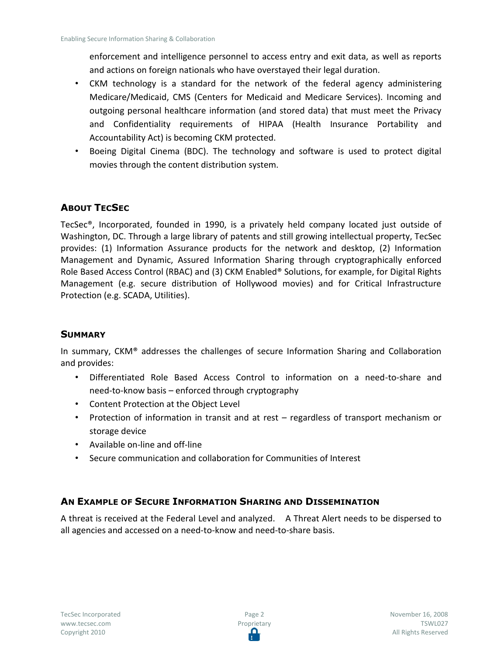enforcement and intelligence personnel to access entry and exit data, as well as reports and actions on foreign nationals who have overstayed their legal duration.

- CKM technology is a standard for the network of the federal agency administering Medicare/Medicaid, CMS (Centers for Medicaid and Medicare Services). Incoming and outgoing personal healthcare information (and stored data) that must meet the Privacy and Confidentiality requirements of HIPAA (Health Insurance Portability and Accountability Act) is becoming CKM protected.
- Boeing Digital Cinema (BDC). The technology and software is used to protect digital movies through the content distribution system.

### **ABOUT TECSEC**

TecSec®, Incorporated, founded in 1990, is a privately held company located just outside of Washington, DC. Through a large library of patents and still growing intellectual property, TecSec provides: (1) Information Assurance products for the network and desktop, (2) Information Management and Dynamic, Assured Information Sharing through cryptographically enforced Role Based Access Control (RBAC) and (3) CKM Enabled® Solutions, for example, for Digital Rights Management (e.g. secure distribution of Hollywood movies) and for Critical Infrastructure Protection (e.g. SCADA, Utilities).

#### **SUMMARY**

In summary, CKM® addresses the challenges of secure Information Sharing and Collaboration and provides:

- Differentiated Role Based Access Control to information on a need-to-share and need-to-know basis – enforced through cryptography
- Content Protection at the Object Level
- Protection of information in transit and at rest regardless of transport mechanism or storage device
- Available on-line and off-line
- Secure communication and collaboration for Communities of Interest

#### **AN EXAMPLE OF SECURE INFORMATION SHARING AND DISSEMINATION**

A threat is received at the Federal Level and analyzed. A Threat Alert needs to be dispersed to all agencies and accessed on a need-to-know and need-to-share basis.